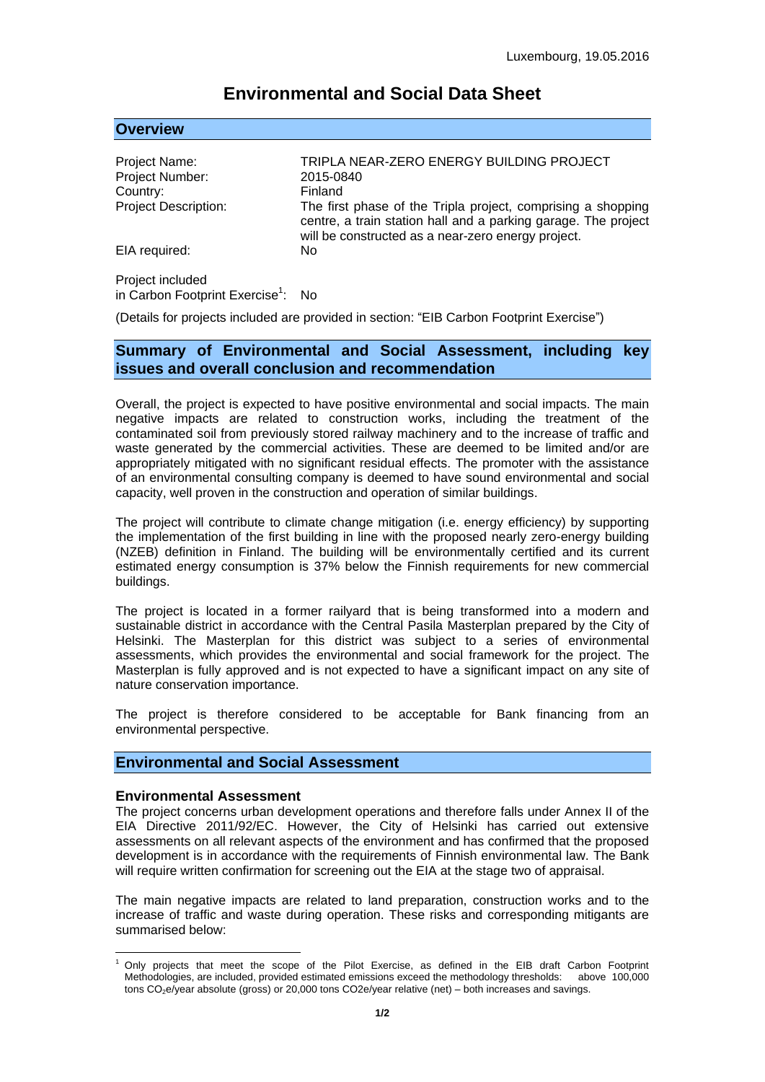# **Environmental and Social Data Sheet**

### **Overview**

| Project Name:<br>Project Number: | TRIPLA NEAR-ZERO ENERGY BUILDING PROJECT<br>2015-0840                                                                                                                                |
|----------------------------------|--------------------------------------------------------------------------------------------------------------------------------------------------------------------------------------|
| Country:                         | Finland                                                                                                                                                                              |
| <b>Project Description:</b>      | The first phase of the Tripla project, comprising a shopping<br>centre, a train station hall and a parking garage. The project<br>will be constructed as a near-zero energy project. |
| EIA required:                    | No                                                                                                                                                                                   |
| Project included                 |                                                                                                                                                                                      |

in Carbon Footprint Exercise<sup>1</sup>: No

(Details for projects included are provided in section: "EIB Carbon Footprint Exercise")

# **Summary of Environmental and Social Assessment, including key issues and overall conclusion and recommendation**

Overall, the project is expected to have positive environmental and social impacts. The main negative impacts are related to construction works, including the treatment of the contaminated soil from previously stored railway machinery and to the increase of traffic and waste generated by the commercial activities. These are deemed to be limited and/or are appropriately mitigated with no significant residual effects. The promoter with the assistance of an environmental consulting company is deemed to have sound environmental and social capacity, well proven in the construction and operation of similar buildings.

The project will contribute to climate change mitigation (i.e. energy efficiency) by supporting the implementation of the first building in line with the proposed nearly zero-energy building (NZEB) definition in Finland. The building will be environmentally certified and its current estimated energy consumption is 37% below the Finnish requirements for new commercial buildings.

The project is located in a former railyard that is being transformed into a modern and sustainable district in accordance with the Central Pasila Masterplan prepared by the City of Helsinki. The Masterplan for this district was subject to a series of environmental assessments, which provides the environmental and social framework for the project. The Masterplan is fully approved and is not expected to have a significant impact on any site of nature conservation importance.

The project is therefore considered to be acceptable for Bank financing from an environmental perspective.

# **Environmental and Social Assessment**

#### **Environmental Assessment**

<u>.</u>

The project concerns urban development operations and therefore falls under Annex II of the EIA Directive 2011/92/EC. However, the City of Helsinki has carried out extensive assessments on all relevant aspects of the environment and has confirmed that the proposed development is in accordance with the requirements of Finnish environmental law. The Bank will require written confirmation for screening out the EIA at the stage two of appraisal.

The main negative impacts are related to land preparation, construction works and to the increase of traffic and waste during operation. These risks and corresponding mitigants are summarised below:

<sup>1</sup> Only projects that meet the scope of the Pilot Exercise, as defined in the EIB draft Carbon Footprint Methodologies, are included, provided estimated emissions exceed the methodology thresholds: above 100,000 tons CO<sub>2</sub>e/year absolute (gross) or 20,000 tons CO2e/year relative (net) – both increases and savings.